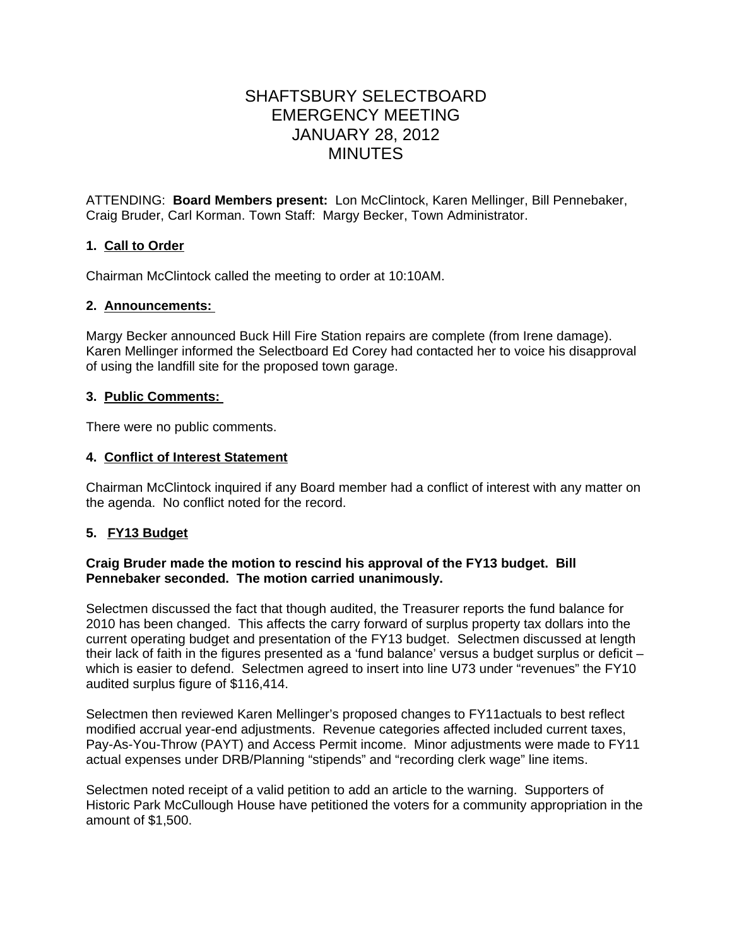# SHAFTSBURY SELECTBOARD EMERGENCY MEETING JANUARY 28, 2012 MINUTES

ATTENDING: **Board Members present:** Lon McClintock, Karen Mellinger, Bill Pennebaker, Craig Bruder, Carl Korman. Town Staff: Margy Becker, Town Administrator.

# **1. Call to Order**

Chairman McClintock called the meeting to order at 10:10AM.

# **2. Announcements:**

Margy Becker announced Buck Hill Fire Station repairs are complete (from Irene damage). Karen Mellinger informed the Selectboard Ed Corey had contacted her to voice his disapproval of using the landfill site for the proposed town garage.

# **3. Public Comments:**

There were no public comments.

# **4. Conflict of Interest Statement**

Chairman McClintock inquired if any Board member had a conflict of interest with any matter on the agenda. No conflict noted for the record.

# **5. FY13 Budget**

# **Craig Bruder made the motion to rescind his approval of the FY13 budget. Bill Pennebaker seconded. The motion carried unanimously.**

Selectmen discussed the fact that though audited, the Treasurer reports the fund balance for 2010 has been changed. This affects the carry forward of surplus property tax dollars into the current operating budget and presentation of the FY13 budget. Selectmen discussed at length their lack of faith in the figures presented as a 'fund balance' versus a budget surplus or deficit – which is easier to defend. Selectmen agreed to insert into line U73 under "revenues" the FY10 audited surplus figure of \$116,414.

Selectmen then reviewed Karen Mellinger's proposed changes to FY11actuals to best reflect modified accrual year-end adjustments. Revenue categories affected included current taxes, Pay-As-You-Throw (PAYT) and Access Permit income. Minor adjustments were made to FY11 actual expenses under DRB/Planning "stipends" and "recording clerk wage" line items.

Selectmen noted receipt of a valid petition to add an article to the warning. Supporters of Historic Park McCullough House have petitioned the voters for a community appropriation in the amount of \$1,500.